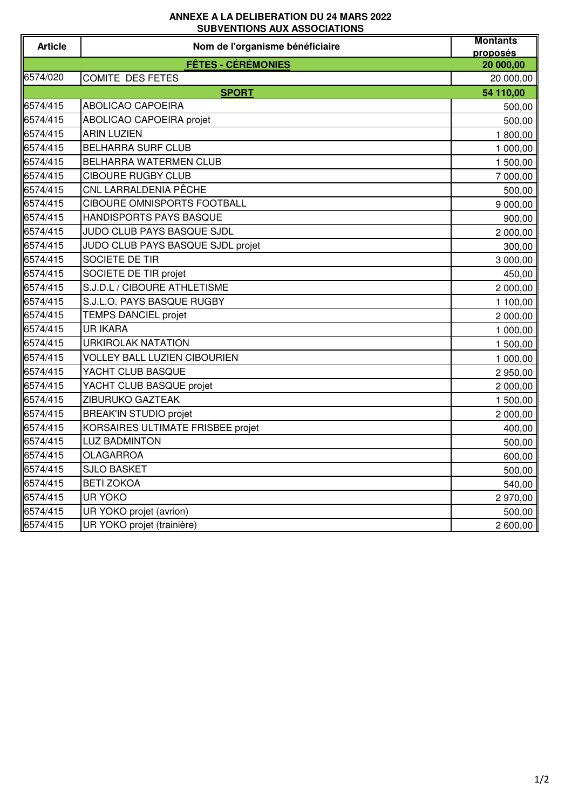## **ANNEXE A LA DELIBERATION DU 24 MARS 2022 SUBVENTIONS AUX ASSOCIATIONS**

| <b>Article</b>            | 000 YEN HUNU AUA A000 01A HUNU<br>Nom de l'organisme bénéficiaire | <b>Montants</b> |
|---------------------------|-------------------------------------------------------------------|-----------------|
|                           |                                                                   | proposés        |
|                           | <b>FÊTES - CÉRÉMONIES</b>                                         | 20 000,00       |
| 6574/020                  | <b>COMITE DES FETES</b>                                           | 20 000,00       |
| <b>SPORT</b><br>54 110,00 |                                                                   |                 |
| 6574/415                  | ABOLICAO CAPOEIRA                                                 | 500,00          |
| 6574/415                  | <b>ABOLICAO CAPOEIRA projet</b>                                   | 500,00          |
| 6574/415                  | <b>ARIN LUZIEN</b>                                                | 1800,00         |
| 6574/415                  | <b>BELHARRA SURF CLUB</b>                                         | 1 000,00        |
| 6574/415                  | BELHARRA WATERMEN CLUB                                            | 1 500,00        |
| 6574/415                  | <b>CIBOURE RUGBY CLUB</b>                                         | 7 000,00        |
| 6574/415                  | CNL LARRALDENIA PÊCHE                                             | 500,00          |
| 6574/415                  | CIBOURE OMNISPORTS FOOTBALL                                       | 9 000,00        |
| 6574/415                  | HANDISPORTS PAYS BASQUE                                           | 900,00          |
| 6574/415                  | JUDO CLUB PAYS BASQUE SJDL                                        | 2 000,00        |
| 6574/415                  | JUDO CLUB PAYS BASQUE SJDL projet                                 | 300,00          |
| 6574/415                  | SOCIETE DE TIR                                                    | 3 000,00        |
| 6574/415                  | SOCIETE DE TIR projet                                             | 450,00          |
| 6574/415                  | S.J.D.L / CIBOURE ATHLETISME                                      | 2 000,00        |
| 6574/415                  | S.J.L.O. PAYS BASQUE RUGBY                                        | 1 100,00        |
| 6574/415                  | <b>TEMPS DANCIEL projet</b>                                       | 2 000,00        |
| 6574/415                  | <b>UR IKARA</b>                                                   | 1 000,00        |
| 6574/415                  | <b>URKIROLAK NATATION</b>                                         | 1 500,00        |
| 6574/415                  | <b>VOLLEY BALL LUZIEN CIBOURIEN</b>                               | 1 000,00        |
| 6574/415                  | YACHT CLUB BASQUE                                                 | 2 950,00        |
| 6574/415                  | YACHT CLUB BASQUE projet                                          | 2 000,00        |
| 6574/415                  | ZIBURUKO GAZTEAK                                                  | 1 500,00        |
| 6574/415                  | <b>BREAK'IN STUDIO projet</b>                                     | 2 000,00        |
| 6574/415                  | KORSAIRES ULTIMATE FRISBEE projet                                 | 400,00          |
| 6574/415                  | <b>LUZ BADMINTON</b>                                              | 500,00          |
| 6574/415                  | <b>OLAGARROA</b>                                                  | 600,00          |
| 6574/415                  | <b>SJLO BASKET</b>                                                | 500,00          |
| 6574/415                  | <b>BETI ZOKOA</b>                                                 | 540,00          |
| 6574/415                  | <b>UR YOKO</b>                                                    | 2970,00         |
| 6574/415                  | UR YOKO projet (avrion)                                           | 500,00          |
| 6574/415                  | UR YOKO projet (trainière)                                        | 2 600,00        |